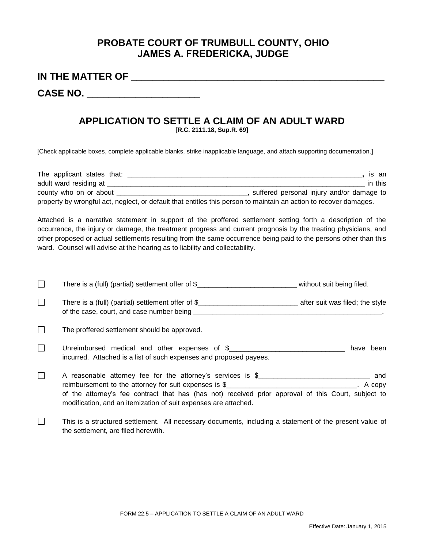## **PROBATE COURT OF TRUMBULL COUNTY, OHIO JAMES A. FREDERICKA, JUDGE**

**IN THE MATTER OF \_\_\_\_\_\_\_\_\_\_\_\_\_\_\_\_\_\_\_\_\_\_\_\_\_\_\_\_\_\_\_\_\_\_\_\_\_\_\_\_\_\_\_\_\_\_\_**

**CASE NO. \_\_\_\_\_\_\_\_\_\_\_\_\_\_\_\_\_\_\_\_\_** 

the settlement, are filed herewith.

## **APPLICATION TO SETTLE A CLAIM OF AN ADULT WARD**

**[R.C. 2111.18, Sup.R. 69]** 

[Check applicable boxes, complete applicable blanks, strike inapplicable language, and attach supporting documentation.]

| The applicant states that:                                                                                        | is an                                       |
|-------------------------------------------------------------------------------------------------------------------|---------------------------------------------|
| adult ward residing at                                                                                            | in this                                     |
| county who on or about                                                                                            | , suffered personal injury and/or damage to |
| property by wrongful act, neglect, or default that entitles this person to maintain an action to recover damages. |                                             |

Attached is a narrative statement in support of the proffered settlement setting forth a description of the occurrence, the injury or damage, the treatment progress and current prognosis by the treating physicians, and other proposed or actual settlements resulting from the same occurrence being paid to the persons other than this ward. Counsel will advise at the hearing as to liability and collectability.

| $\mathbf{I}$ | There is a (full) (partial) settlement offer of \$                                                                                                                                                                                                                                                        | without suit being filed. |
|--------------|-----------------------------------------------------------------------------------------------------------------------------------------------------------------------------------------------------------------------------------------------------------------------------------------------------------|---------------------------|
| П            |                                                                                                                                                                                                                                                                                                           |                           |
| $\mathbf{I}$ | The proffered settlement should be approved.                                                                                                                                                                                                                                                              |                           |
| $\Box$       | Unreimbursed medical and other expenses of \$<br>incurred. Attached is a list of such expenses and proposed payees.                                                                                                                                                                                       | have been                 |
| $\mathbf{I}$ | A reasonable attorney fee for the attorney's services is \$<br>reimbursement to the attorney for suit expenses is $\frac{1}{2}$<br>of the attorney's fee contract that has (has not) received prior approval of this Court, subject to<br>modification, and an itemization of suit expenses are attached. | and<br>A copy             |
|              | This is a structured settlement. All necessary documents, including a statement of the present value of                                                                                                                                                                                                   |                           |